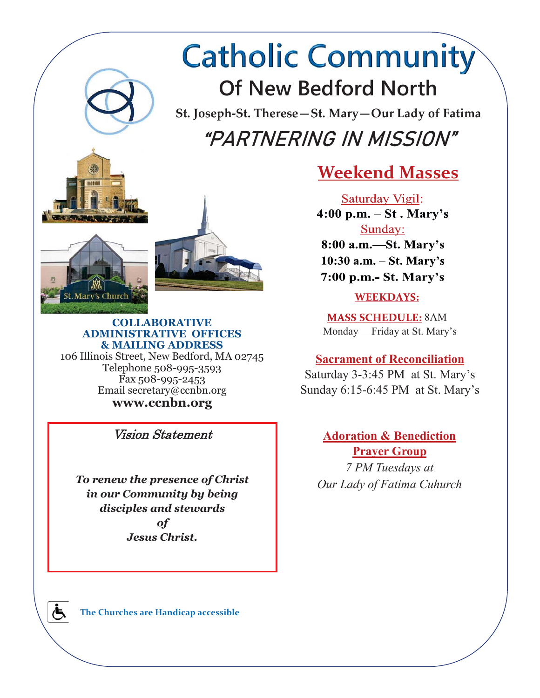# **Catholic Community Of New Bedford North**

**St. Joseph-St. Therese—St. Mary—Our Lady of Fatima**  "PARTNERING IN MISSION"





#### **COLLABORATIVE ADMINISTRATIVE OFFICES & MAILING ADDRESS**  106 Illinois Street, New Bedford, MA 02745 Telephone 508-995-3593 Fax 508-995-2453

Email secretary@ccnbn.org **www.ccnbn.org** 

Vision Statement

*To renew the presence of Christ in our Community by being disciples and stewards of Jesus Christ.* 

## **Weekend Masses**

Saturday Vigil:  $4:00 \text{ p.m.} - \text{St.} \text{ Mary's}$ Sunday: 8:00 a.m. - St. Mary's  $10:30$  a.m.  $-$  St. Mary's 7:00 p.m.- St. Mary's

### **WEEKDAYS:**

**MASS SCHEDULE: 8AM** Monday— Friday at St. Mary's

## **Sacrament of Reconciliation**

Saturday 3-3:45 PM at St. Mary's Sunday 6:15-6:45 PM at St. Mary's

## **Adoration & Benediction Prayer Group**

*7 PM Tuesdays at Our Lady of Fatima Cuhurch* 

**The Churches are Handicap accessible**

க்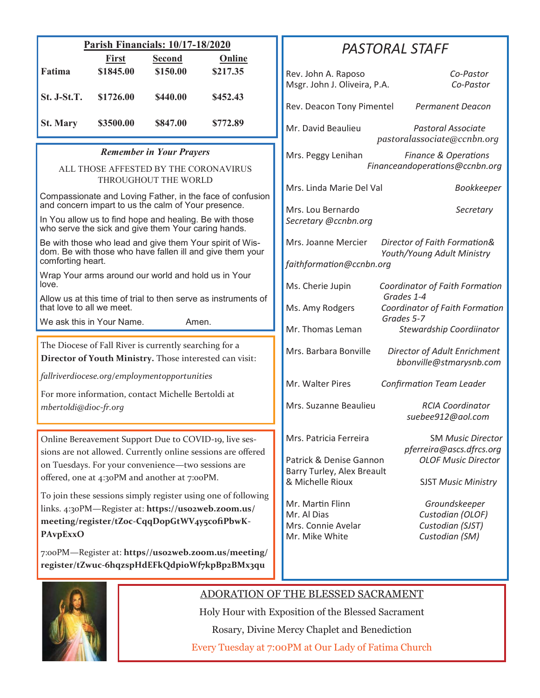| <b>Parish Financials: 10/17-18/2020</b>                                                                                                                                                                                                        |                                                                             |               |               |  | <b>PASTORAL STAFF</b>                                                                       |                                                                                    |                                                                                                       |  |
|------------------------------------------------------------------------------------------------------------------------------------------------------------------------------------------------------------------------------------------------|-----------------------------------------------------------------------------|---------------|---------------|--|---------------------------------------------------------------------------------------------|------------------------------------------------------------------------------------|-------------------------------------------------------------------------------------------------------|--|
|                                                                                                                                                                                                                                                | <b>First</b>                                                                | <b>Second</b> | <b>Online</b> |  |                                                                                             |                                                                                    |                                                                                                       |  |
| Fatima                                                                                                                                                                                                                                         | \$1845.00                                                                   | \$150.00      | \$217.35      |  | Rev. John A. Raposo<br>Msgr. John J. Oliveira, P.A.                                         |                                                                                    | Co-Pastor<br>Co-Pastor                                                                                |  |
| St. J-St.T.                                                                                                                                                                                                                                    | \$1726.00                                                                   | \$440.00      | \$452.43      |  | Rev. Deacon Tony Pimentel                                                                   |                                                                                    | <b>Permanent Deacon</b>                                                                               |  |
| <b>St. Mary</b>                                                                                                                                                                                                                                | \$3500.00                                                                   | \$847.00      | \$772.89      |  | Mr. David Beaulieu                                                                          |                                                                                    | <b>Pastoral Associate</b><br>pastoralassociate@ccnbn.org                                              |  |
| <b>Remember in Your Prayers</b><br>ALL THOSE AFFESTED BY THE CORONAVIRUS                                                                                                                                                                       |                                                                             |               |               |  | Mrs. Peggy Lenihan                                                                          |                                                                                    | <b>Finance &amp; Operations</b><br>Financeandoperations@ccnbn.org                                     |  |
| THROUGHOUT THE WORLD<br>Compassionate and Loving Father, in the face of confusion                                                                                                                                                              |                                                                             |               |               |  | Mrs. Linda Marie Del Val                                                                    |                                                                                    | Bookkeeper                                                                                            |  |
| and concern impart to us the calm of Your presence.<br>In You allow us to find hope and healing. Be with those<br>who serve the sick and give them Your caring hands.                                                                          |                                                                             |               |               |  | Mrs. Lou Bernardo<br>Secretary @ccnbn.org                                                   |                                                                                    | Secretary                                                                                             |  |
| Be with those who lead and give them Your spirit of Wis-<br>dom. Be with those who have fallen ill and give them your<br>comforting heart.                                                                                                     |                                                                             |               |               |  | Mrs. Joanne Mercier<br>faithformation@ccnbn.org                                             | Director of Faith Formation&<br>Youth/Young Adult Ministry                         |                                                                                                       |  |
| Wrap Your arms around our world and hold us in Your<br>love.                                                                                                                                                                                   |                                                                             |               |               |  | Ms. Cherie Jupin<br>Coordinator of Faith Formation                                          |                                                                                    |                                                                                                       |  |
| Allow us at this time of trial to then serve as instruments of                                                                                                                                                                                 |                                                                             |               |               |  |                                                                                             | Grades 1-4                                                                         |                                                                                                       |  |
| that love to all we meet.<br>We ask this in Your Name.<br>Amen.                                                                                                                                                                                |                                                                             |               |               |  | Ms. Amy Rodgers                                                                             | Coordinator of Faith Formation<br>Grades 5-7                                       |                                                                                                       |  |
|                                                                                                                                                                                                                                                |                                                                             |               |               |  | Mr. Thomas Leman                                                                            |                                                                                    | Stewardship Coordiinator                                                                              |  |
| The Diocese of Fall River is currently searching for a<br>Director of Youth Ministry. Those interested can visit:                                                                                                                              |                                                                             |               |               |  | Mrs. Barbara Bonville                                                                       |                                                                                    | Director of Adult Enrichment<br>bbonville@stmarysnb.com                                               |  |
| fallriverdiocese.org/employmentopportunities                                                                                                                                                                                                   |                                                                             |               |               |  | Mr. Walter Pires                                                                            | <b>Confirmation Team Leader</b>                                                    |                                                                                                       |  |
|                                                                                                                                                                                                                                                | For more information, contact Michelle Bertoldi at<br>mbertoldi@dioc-fr.org |               |               |  | Mrs. Suzanne Beaulieu                                                                       |                                                                                    | <b>RCIA Coordinator</b><br>suebee912@aol.com                                                          |  |
| Online Bereavement Support Due to COVID-19, live ses-<br>sions are not allowed. Currently online sessions are offered<br>on Tuesdays. For your convenience-two sessions are<br>offered, one at 4:30PM and another at 7:00PM.                   |                                                                             |               |               |  | Mrs. Patricia Ferreira<br>Patrick & Denise Gannon<br>Barry Turley, Alex Breault             | <b>SM Music Director</b><br>pferreira@ascs.dfrcs.org<br><b>OLOF Music Director</b> |                                                                                                       |  |
| To join these sessions simply register using one of following<br>links. 4:30PM-Register at: https://uso2web.zoom.us/<br>meeting/register/tZoc-CqqDopGtWV4y5cofiPbwK-<br><b>PAvpExxO</b><br>7:00PM-Register at: https//uso2web.zoom.us/meeting/ |                                                                             |               |               |  | & Michelle Rioux<br>Mr. Martin Flinn<br>Mr. Al Dias<br>Mrs. Connie Avelar<br>Mr. Mike White |                                                                                    | <b>SJST Music Ministry</b><br>Groundskeeper<br>Custodian (OLOF)<br>Custodian (SJST)<br>Custodian (SM) |  |
| register/tZwuc-6hqzspHdEFkQdpioWf7kpBp2BMx3qu                                                                                                                                                                                                  |                                                                             |               |               |  |                                                                                             |                                                                                    |                                                                                                       |  |



## ADORATION OF THE BLESSED SACRAMENT

Holy Hour with Exposition of the Blessed Sacrament Rosary, Divine Mercy Chaplet and Benediction Every Tuesday at 7:00PM at Our Lady of Fatima Church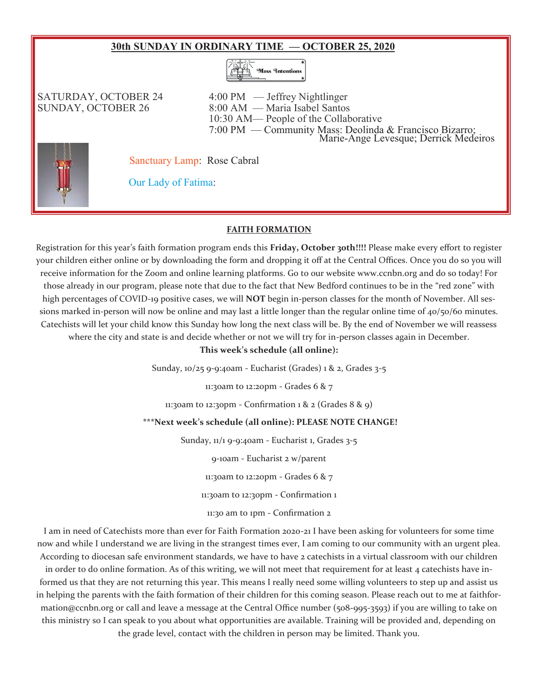#### **30th SUNDAY IN ORDINARY TIME — OCTOBER 25, 2020**



SATURDAY, OCTOBER 24 4:00 PM — Jeffrey Nightlinger SUNDAY, OCTOBER 26 8:00 AM — Maria Isabel Santos 10:30 AM— People of the Collaborative 7:00 PM — Community Mass: Deolinda & Francisco Bizarro; Marie-Ange Levesque; Derrick Medeiros

Sanctuary Lamp: Rose Cabral



Our Lady of Fatima:

#### **FAITH FORMATION**

Registration for this year's faith formation program ends this **Friday, October 30th!!!!** Please make every effort to register your children either online or by downloading the form and dropping it off at the Central Offices. Once you do so you will receive information for the Zoom and online learning platforms. Go to our website www.ccnbn.org and do so today! For those already in our program, please note that due to the fact that New Bedford continues to be in the "red zone" with high percentages of COVID-19 positive cases, we will **NOT** begin in-person classes for the month of November. All sessions marked in-person will now be online and may last a little longer than the regular online time of  $40/50/60$  minutes. Catechists will let your child know this Sunday how long the next class will be. By the end of November we will reassess where the city and state is and decide whether or not we will try for in-person classes again in December.

**This week's schedule (all online):** 

Sunday, 10/25 9-9:40am - Eucharist (Grades) 1 & 2, Grades 3-5

11:30am to 12:20pm - Grades 6 & 7

11:30am to 12:30pm - Confirmation 1 & 2 (Grades  $8 \& 9$ )

#### **\*\*\*Next week's schedule (all online): PLEASE NOTE CHANGE!**

Sunday, 11/1 9-9:40am - Eucharist 1, Grades 3-5

9-10am - Eucharist 2 w/parent

11:30am to 12:20pm - Grades 6 & 7

11:30am to 12:30pm - Confirmation 1

11:30 am to 1pm - Confirmation 2

I am in need of Catechists more than ever for Faith Formation 2020-21 I have been asking for volunteers for some time now and while I understand we are living in the strangest times ever, I am coming to our community with an urgent plea. According to diocesan safe environment standards, we have to have 2 catechists in a virtual classroom with our children in order to do online formation. As of this writing, we will not meet that requirement for at least 4 catechists have informed us that they are not returning this year. This means I really need some willing volunteers to step up and assist us in helping the parents with the faith formation of their children for this coming season. Please reach out to me at faithformation@ccnbn.org or call and leave a message at the Central Office number (508-995-3593) if you are willing to take on this ministry so I can speak to you about what opportunities are available. Training will be provided and, depending on the grade level, contact with the children in person may be limited. Thank you.